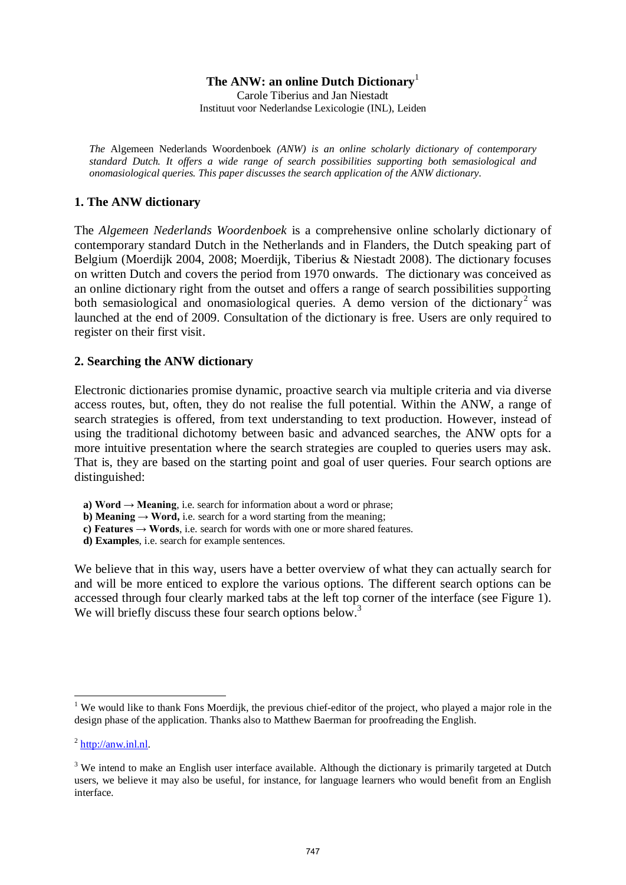#### **The ANW: an online Dutch Dictionary**<sup>1</sup>

Carole Tiberius and Jan Niestadt Instituut voor Nederlandse Lexicologie (INL), Leiden

*The* Algemeen Nederlands Woordenboek *(ANW) is an online scholarly dictionary of contemporary standard Dutch. It offers a wide range of search possibilities supporting both semasiological and onomasiological queries. This paper discusses the search application of the ANW dictionary.* 

## **1. The ANW dictionary**

The *Algemeen Nederlands Woordenboek* is a comprehensive online scholarly dictionary of contemporary standard Dutch in the Netherlands and in Flanders, the Dutch speaking part of Belgium (Moerdijk 2004, 2008; Moerdijk, Tiberius & Niestadt 2008). The dictionary focuses on written Dutch and covers the period from 1970 onwards. The dictionary was conceived as an online dictionary right from the outset and offers a range of search possibilities supporting both semasiological and onomasiological queries. A demo version of the dictionary<sup>2</sup> was launched at the end of 2009. Consultation of the dictionary is free. Users are only required to register on their first visit.

## **2. Searching the ANW dictionary**

Electronic dictionaries promise dynamic, proactive search via multiple criteria and via diverse access routes, but, often, they do not realise the full potential. Within the ANW, a range of search strategies is offered, from text understanding to text production. However, instead of using the traditional dichotomy between basic and advanced searches, the ANW opts for a more intuitive presentation where the search strategies are coupled to queries users may ask. That is, they are based on the starting point and goal of user queries. Four search options are distinguished:

- **a) Word**  $\rightarrow$  **Meaning**, i.e. search for information about a word or phrase;
- **b) Meaning**  $\rightarrow$  **Word,** i.e. search for a word starting from the meaning:
- **c) Features → Words**, i.e. search for words with one or more shared features.
- **d) Examples**, i.e. search for example sentences.

We believe that in this way, users have a better overview of what they can actually search for and will be more enticed to explore the various options. The different search options can be accessed through four clearly marked tabs at the left top corner of the interface (see Figure 1). We will briefly discuss these four search options below. $3$ 

<sup>&</sup>lt;sup>1</sup> We would like to thank Fons Moerdijk, the previous chief-editor of the project, who played a major role in the design phase of the application. Thanks also to Matthew Baerman for proofreading the English.

 $^{2}$  [http://anw.inl.nl.](http://anw.inl.nl/)

 $3$  We intend to make an English user interface available. Although the dictionary is primarily targeted at Dutch users, we believe it may also be useful, for instance, for language learners who would benefit from an English interface.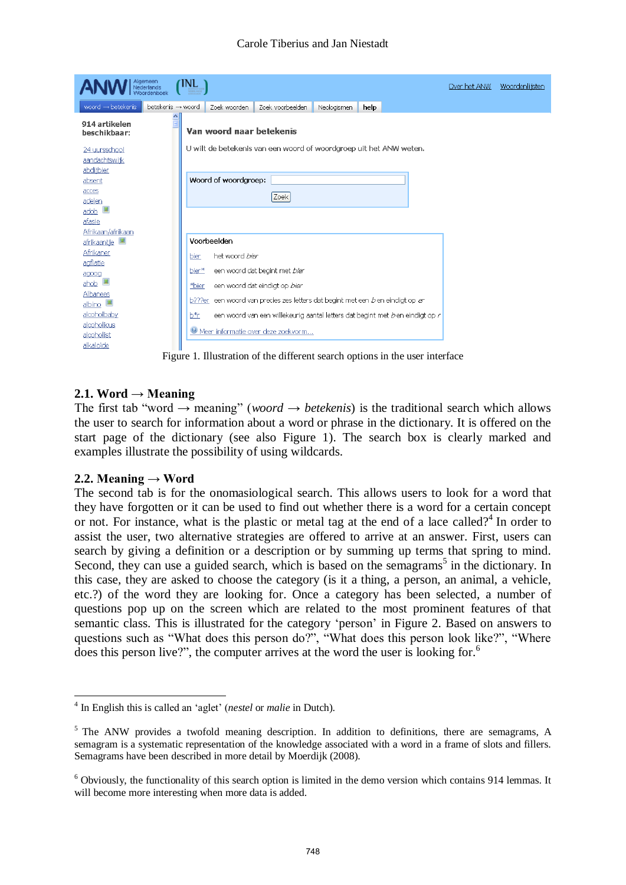| Algemeen<br>Nederlands               | NL<br><b>HELEN INTER</b> |                          |                                                                                                                    |             |      | Over het ANW | Woordenlijsten |
|--------------------------------------|--------------------------|--------------------------|--------------------------------------------------------------------------------------------------------------------|-------------|------|--------------|----------------|
| woord $\rightarrow$ betekenis        | betekenis → woord        | Zoek woorden             | Zoek voorbeelden                                                                                                   | Neologismen | help |              |                |
| 914 artikelen<br>beschikbaar:        | $\triangle$              | Van woord naar betekenis |                                                                                                                    |             |      |              |                |
| 24 uursschool<br>aandachtswijk       |                          |                          | U wilt de betekenis van een woord of woordgroep uit het ANW weten.                                                 |             |      |              |                |
| abditbier<br>absent<br>acces         |                          | Woord of woordgroep:     |                                                                                                                    |             |      |              |                |
| adelen<br>adob                       |                          |                          | Zoek                                                                                                               |             |      |              |                |
| afasie<br>Afrikaan/afrikaan          |                          | Voorbeelden              |                                                                                                                    |             |      |              |                |
| afrikaantje<br>Afrikaner<br>agflatie | bier                     | het woord bier           |                                                                                                                    |             |      |              |                |
| agoog<br>ahob $\blacksquare$         | bier*<br>*bier           |                          | een woord dat begint met bier<br>een woord dat eindigt op bier                                                     |             |      |              |                |
| Albanees<br>albino<br>alcoholbaby    | b???er                   |                          | een woord van precies zes letters dat begint met een b en eindigt op er                                            |             |      |              |                |
| alcoholicus<br>alcoholist            | b*r                      |                          | een woord van een willekeurig aantal letters dat begint met ben eindigt op r<br>Meer informatie over deze zoekvorm |             |      |              |                |
| alkaloïde                            |                          |                          |                                                                                                                    |             |      |              |                |

Figure 1. Illustration of the different search options in the user interface

## 2.1. Word  $\rightarrow$  Meaning

The first tab "word  $\rightarrow$  meaning" (*woord*  $\rightarrow$  *betekenis*) is the traditional search which allows the user to search for information about a word or phrase in the dictionary. It is offered on the start page of the dictionary (see also Figure 1). The search box is clearly marked and examples illustrate the possibility of using wildcards.

#### **2.2. Meaning**  $\rightarrow$  **Word**

The second tab is for the onomasiological search. This allows users to look for a word that they have forgotten or it can be used to find out whether there is a word for a certain concept or not. For instance, what is the plastic or metal tag at the end of a lace called?<sup>4</sup> In order to assist the user, two alternative strategies are offered to arrive at an answer. First, users can search by giving a definition or a description or by summing up terms that spring to mind. Second, they can use a guided search, which is based on the semagrams<sup>5</sup> in the dictionary. In this case, they are asked to choose the category (is it a thing, a person, an animal, a vehicle, etc.?) of the word they are looking for. Once a category has been selected, a number of questions pop up on the screen which are related to the most prominent features of that semantic class. This is illustrated for the category 'person' in Figure 2. Based on answers to questions such as "What does this person do?", "What does this person look like?", "Where does this person live?", the computer arrives at the word the user is looking for.<sup>6</sup>

 4 In English this is called an "aglet" (*nestel* or *malie* in Dutch).

<sup>&</sup>lt;sup>5</sup> The ANW provides a twofold meaning description. In addition to definitions, there are semagrams, A semagram is a systematic representation of the knowledge associated with a word in a frame of slots and fillers. Semagrams have been described in more detail by Moerdijk (2008).

 $6$  Obviously, the functionality of this search option is limited in the demo version which contains 914 lemmas. It will become more interesting when more data is added.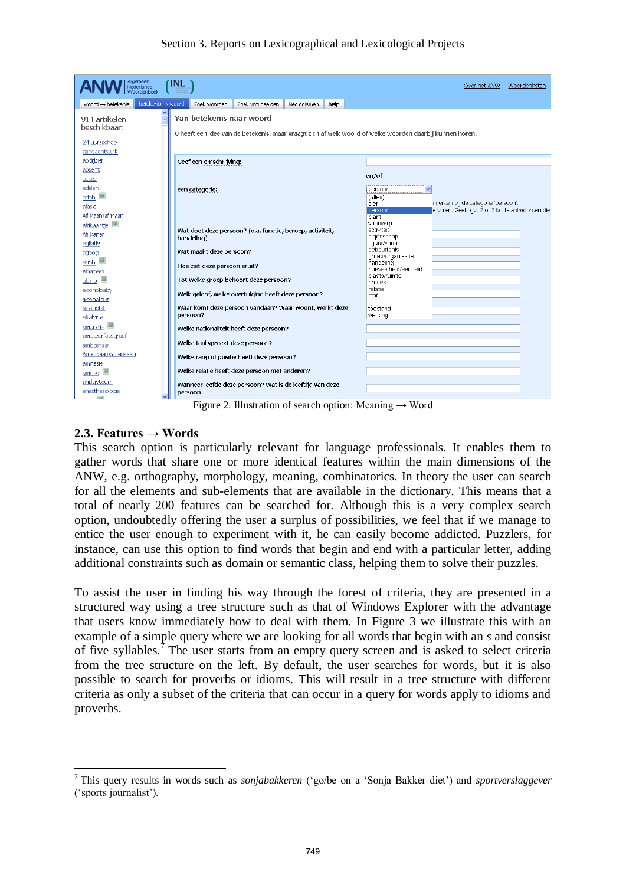## Section 3. Reports on Lexicographical and Lexicological Projects

| Algemeen<br>Nederlands                              | INL                                                                                                                                  | Over het ANW<br>Woordenlijsten                                                    |  |  |  |  |  |  |  |
|-----------------------------------------------------|--------------------------------------------------------------------------------------------------------------------------------------|-----------------------------------------------------------------------------------|--|--|--|--|--|--|--|
| betekenis -> woord<br>woord $\rightarrow$ betekenis | Zoek voorbeelden<br>Zoek woorden<br>Neologismen<br>help                                                                              |                                                                                   |  |  |  |  |  |  |  |
| 914 artikelen<br>beschikbaar:                       | Van betekenis naar woord<br>U heeft een idee van de betekenis, maar vraagt zich af welk woord of welke woorden daarbij kunnen horen. |                                                                                   |  |  |  |  |  |  |  |
| 24 uursschool<br>aandachtswijk                      |                                                                                                                                      |                                                                                   |  |  |  |  |  |  |  |
| abdijbier<br>absent                                 | Geef een omschrijving:                                                                                                               |                                                                                   |  |  |  |  |  |  |  |
| acces                                               |                                                                                                                                      | en/of                                                                             |  |  |  |  |  |  |  |
| adelen<br>adob<br>afasie                            | een categorie:                                                                                                                       | persoon<br>$\checkmark$<br>(alles)<br>hmerken bij de categorie 'persoon'.<br>dier |  |  |  |  |  |  |  |
| Afrikaan/afrikaan<br>afrikaantje                    |                                                                                                                                      | e vullen. Geef bijv. 2 of 3 korte antwoorden die<br>persoon<br>plant<br>voorwerp  |  |  |  |  |  |  |  |
| Afrikaner<br>agflatie                               | Wat doet deze persoon? (o.a. functie, beroep, activiteit,<br>handeling)                                                              | activiteit<br>eigenschap<br>figuur/vorm                                           |  |  |  |  |  |  |  |
| agoog<br>ahob                                       | Wat maakt deze persoon?                                                                                                              | gebeurtenis<br>groep/organisatie<br>handeling                                     |  |  |  |  |  |  |  |
| Albanees<br>albino I                                | Hoe ziet deze persoon eruit?<br>Tot welke groep behoort deze persoon?                                                                | hoeveelheid/eenheid<br>plaats/ruimte                                              |  |  |  |  |  |  |  |
| alcoholbaby<br>alcoholicus                          | Welk geloof, welke overtuiging heeft deze persoon?                                                                                   | proces<br>relatie<br>stof                                                         |  |  |  |  |  |  |  |
| alcoholist<br>alkaloïde                             | Waar komt deze persoon vandaan? Waar woont, werkt deze<br>persoon?                                                                   | tiid<br>toestand<br>werking                                                       |  |  |  |  |  |  |  |
| amarylis<br>amateurfotograaf                        | Welke nationaliteit heeft deze persoon?                                                                                              |                                                                                   |  |  |  |  |  |  |  |
| ambtenaar<br>Amerikaan/amerikaan                    | Welke taal spreekt deze persoon?                                                                                                     |                                                                                   |  |  |  |  |  |  |  |
| amnesie                                             | Welke rang of positie heeft deze persoon?<br>Welke relatie heeft deze persoon met anderen?                                           |                                                                                   |  |  |  |  |  |  |  |
| amuse<br>analgeticum                                | Wanneer leefde deze persoon? Wat is de leeftijd van deze                                                                             |                                                                                   |  |  |  |  |  |  |  |
| anesthesiologie<br><b>Call</b>                      | persoon                                                                                                                              |                                                                                   |  |  |  |  |  |  |  |

Figure 2. Illustration of search option: Meaning  $\rightarrow$  Word

## **2.3. Features → Words**

This search option is particularly relevant for language professionals. It enables them to gather words that share one or more identical features within the main dimensions of the ANW, e.g. orthography, morphology, meaning, combinatorics. In theory the user can search for all the elements and sub-elements that are available in the dictionary. This means that a total of nearly 200 features can be searched for. Although this is a very complex search option, undoubtedly offering the user a surplus of possibilities, we feel that if we manage to entice the user enough to experiment with it, he can easily become addicted. Puzzlers, for instance, can use this option to find words that begin and end with a particular letter, adding additional constraints such as domain or semantic class, helping them to solve their puzzles.

To assist the user in finding his way through the forest of criteria, they are presented in a structured way using a tree structure such as that of Windows Explorer with the advantage that users know immediately how to deal with them. In Figure 3 we illustrate this with an example of a simple query where we are looking for all words that begin with an *s* and consist of five syllables.<sup>7</sup> The user starts from an empty query screen and is asked to select criteria from the tree structure on the left. By default, the user searches for words, but it is also possible to search for proverbs or idioms. This will result in a tree structure with different criteria as only a subset of the criteria that can occur in a query for words apply to idioms and proverbs.

 7 This query results in words such as *sonjabakkeren* ("go/be on a "Sonja Bakker diet") and *sportverslaggever* ("sports journalist").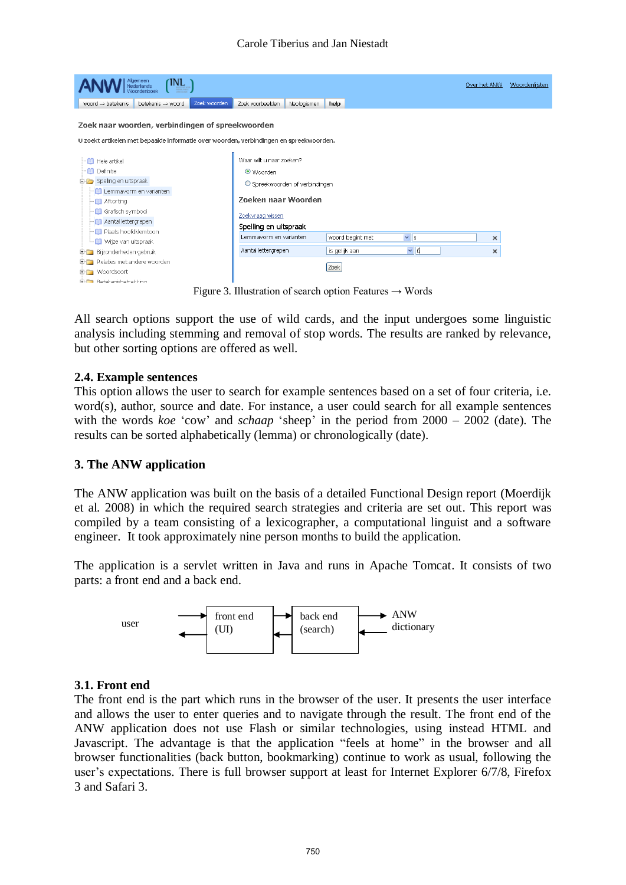| TNL (                                                                                                                                      | Over het ANW                    | Woordenlijste |                  |               |   |  |  |  |  |  |
|--------------------------------------------------------------------------------------------------------------------------------------------|---------------------------------|---------------|------------------|---------------|---|--|--|--|--|--|
| Zoek woorden<br>woord $\rightarrow$ betekenis<br>betekenis - woord                                                                         | Zoek voorbeelden                | Neologismen   | help             |               |   |  |  |  |  |  |
| Zoek naar woorden, verbindingen of spreekwoorden<br>U zoekt artikelen met bepaalde informatie over woorden, verbindingen en spreekwoorden. |                                 |               |                  |               |   |  |  |  |  |  |
| Waar wilt u naar zoeken?<br>- <b>D</b> Hele artikel                                                                                        |                                 |               |                  |               |   |  |  |  |  |  |
| <b>D</b> Definitie                                                                                                                         | ⊙ Woorden                       |               |                  |               |   |  |  |  |  |  |
| Spelling en uitspraak                                                                                                                      | O Spreekwoorden of verbindingen |               |                  |               |   |  |  |  |  |  |
| Lemmavorm en varianten<br><b>n</b> Afkorting                                                                                               | Zoeken naar Woorden             |               |                  |               |   |  |  |  |  |  |
| Grafisch symbool<br>Aantal lettergrepen                                                                                                    | Zoekvraag wissen                |               |                  |               |   |  |  |  |  |  |
| - <b>D</b> Plaats hoofdklemtoon                                                                                                            | Spelling en uitspraak           |               |                  |               |   |  |  |  |  |  |
| <b>Mize van uitspraak</b>                                                                                                                  | Lemmayorm en varianten          |               | woord begint met | $\vee$ s      | × |  |  |  |  |  |
| EFFET Bitzonderheden gebruik                                                                                                               | Aantal lettergrepen             |               | is gelijk aan    | $\frac{1}{5}$ | × |  |  |  |  |  |
| E-C Relaties met andere woorden                                                                                                            |                                 |               |                  |               |   |  |  |  |  |  |
| E- Woordsoort                                                                                                                              | Zoek                            |               |                  |               |   |  |  |  |  |  |
| <b>F-Batakanichatrakking</b>                                                                                                               |                                 |               |                  |               |   |  |  |  |  |  |

Figure 3. Illustration of search option Features → Words

All search options support the use of wild cards, and the input undergoes some linguistic analysis including stemming and removal of stop words. The results are ranked by relevance, but other sorting options are offered as well.

## **2.4. Example sentences**

This option allows the user to search for example sentences based on a set of four criteria, i.e. word(s), author, source and date. For instance, a user could search for all example sentences with the words *koe* 'cow' and *schaap* 'sheep' in the period from 2000 – 2002 (date). The results can be sorted alphabetically (lemma) or chronologically (date).

#### **3. The ANW application**

The ANW application was built on the basis of a detailed Functional Design report (Moerdijk et al. 2008) in which the required search strategies and criteria are set out. This report was compiled by a team consisting of a lexicographer, a computational linguist and a software engineer. It took approximately nine person months to build the application.

The application is a servlet written in Java and runs in Apache Tomcat. It consists of two parts: a front end and a back end.



#### **3.1. Front end**

The front end is the part which runs in the browser of the user. It presents the user interface and allows the user to enter queries and to navigate through the result. The front end of the ANW application does not use Flash or similar technologies, using instead HTML and Javascript. The advantage is that the application "feels at home" in the browser and all browser functionalities (back button, bookmarking) continue to work as usual, following the user"s expectations. There is full browser support at least for Internet Explorer 6/7/8, Firefox 3 and Safari 3.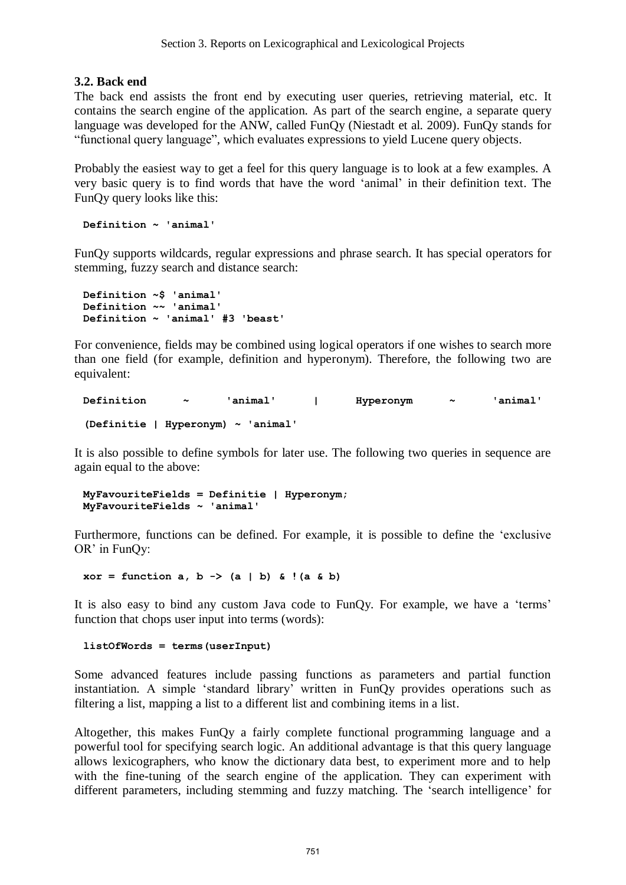## **3.2. Back end**

The back end assists the front end by executing user queries, retrieving material, etc. It contains the search engine of the application. As part of the search engine, a separate query language was developed for the ANW, called FunQy (Niestadt et al. 2009). FunQy stands for "functional query language", which evaluates expressions to yield Lucene query objects.

Probably the easiest way to get a feel for this query language is to look at a few examples. A very basic query is to find words that have the word "animal" in their definition text. The FunQy query looks like this:

**Definition ~ 'animal'** 

FunQy supports wildcards, regular expressions and phrase search. It has special operators for stemming, fuzzy search and distance search:

**Definition ~\$ 'animal' Definition ~~ 'animal' Definition ~ 'animal' #3 'beast'**

For convenience, fields may be combined using logical operators if one wishes to search more than one field (for example, definition and hyperonym). Therefore, the following two are equivalent:

```
Definition ~ 'animal' | Hyperonym ~ 'animal' 
(Definitie | Hyperonym) ~ 'animal'
```
It is also possible to define symbols for later use. The following two queries in sequence are again equal to the above:

```
MyFavouriteFields = Definitie | Hyperonym; 
MyFavouriteFields ~ 'animal'
```
Furthermore, functions can be defined. For example, it is possible to define the "exclusive OR' in FunOy:

 $xor = function a, b \rightarrow (a | b) \& (a \& b)$ 

It is also easy to bind any custom Java code to FunOy. For example, we have a 'terms' function that chops user input into terms (words):

**listOfWords = terms(userInput)**

Some advanced features include passing functions as parameters and partial function instantiation. A simple "standard library" written in FunQy provides operations such as filtering a list, mapping a list to a different list and combining items in a list.

Altogether, this makes FunQy a fairly complete functional programming language and a powerful tool for specifying search logic. An additional advantage is that this query language allows lexicographers, who know the dictionary data best, to experiment more and to help with the fine-tuning of the search engine of the application. They can experiment with different parameters, including stemming and fuzzy matching. The 'search intelligence' for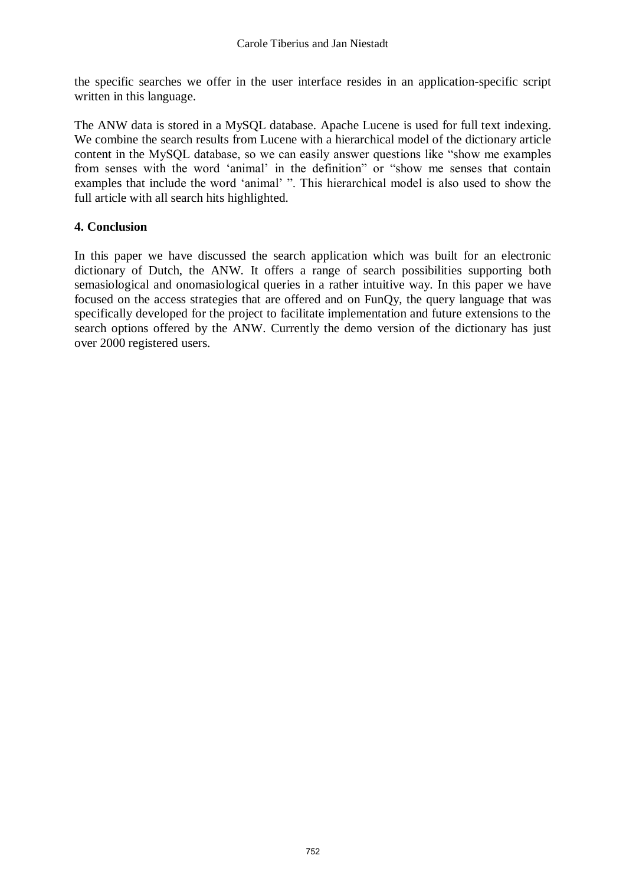the specific searches we offer in the user interface resides in an application-specific script written in this language.

The ANW data is stored in a MySQL database. Apache Lucene is used for full text indexing. We combine the search results from Lucene with a hierarchical model of the dictionary article content in the MySQL database, so we can easily answer questions like "show me examples from senses with the word "animal" in the definition" or "show me senses that contain examples that include the word "animal" ". This hierarchical model is also used to show the full article with all search hits highlighted.

# **4. Conclusion**

In this paper we have discussed the search application which was built for an electronic dictionary of Dutch, the ANW. It offers a range of search possibilities supporting both semasiological and onomasiological queries in a rather intuitive way. In this paper we have focused on the access strategies that are offered and on FunQy, the query language that was specifically developed for the project to facilitate implementation and future extensions to the search options offered by the ANW. Currently the demo version of the dictionary has just over 2000 registered users.